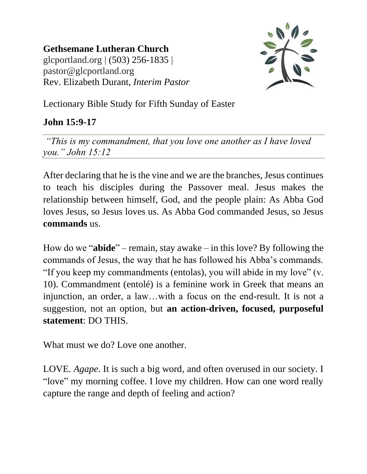**Gethsemane Lutheran Church** glcportland.org | (503) 256-1835 | pastor@glcportland.org Rev. Elizabeth Durant, *Interim Pastor*



Lectionary Bible Study for Fifth Sunday of Easter

## **John 15:9-17**

*"This is my commandment, that you love one another as I have loved you." John 15:12* 

After declaring that he is the vine and we are the branches, Jesus continues to teach his disciples during the Passover meal. Jesus makes the relationship between himself, God, and the people plain: As Abba God loves Jesus, so Jesus loves us. As Abba God commanded Jesus, so Jesus **commands** us.

How do we "**abide**" – remain, stay awake – in this love? By following the commands of Jesus, the way that he has followed his Abba's commands. "If you keep my commandments (entolas), you will abide in my love" (v. 10). Commandment (entolé) is a feminine work in Greek that means an injunction, an order, a law…with a focus on the end-result. It is not a suggestion, not an option, but **an action-driven, focused, purposeful statement**: DO THIS.

What must we do? Love one another.

LOVE. *Agape*. It is such a big word, and often overused in our society. I "love" my morning coffee. I love my children. How can one word really capture the range and depth of feeling and action?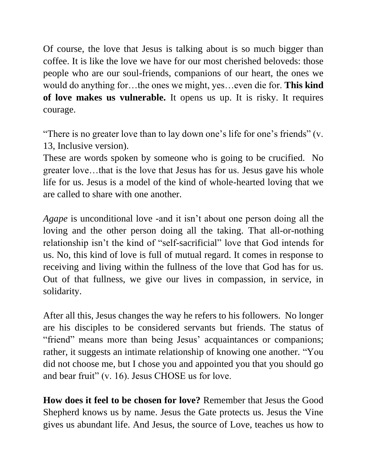Of course, the love that Jesus is talking about is so much bigger than coffee. It is like the love we have for our most cherished beloveds: those people who are our soul-friends, companions of our heart, the ones we would do anything for…the ones we might, yes…even die for. **This kind of love makes us vulnerable.** It opens us up. It is risky. It requires courage.

"There is no greater love than to lay down one's life for one's friends" (v. 13, Inclusive version).

These are words spoken by someone who is going to be crucified. No greater love…that is the love that Jesus has for us. Jesus gave his whole life for us. Jesus is a model of the kind of whole-hearted loving that we are called to share with one another.

*Agape* is unconditional love -and it isn't about one person doing all the loving and the other person doing all the taking. That all-or-nothing relationship isn't the kind of "self-sacrificial" love that God intends for us. No, this kind of love is full of mutual regard. It comes in response to receiving and living within the fullness of the love that God has for us. Out of that fullness, we give our lives in compassion, in service, in solidarity.

After all this, Jesus changes the way he refers to his followers. No longer are his disciples to be considered servants but friends. The status of "friend" means more than being Jesus' acquaintances or companions; rather, it suggests an intimate relationship of knowing one another. "You did not choose me, but I chose you and appointed you that you should go and bear fruit" (v. 16). Jesus CHOSE us for love.

**How does it feel to be chosen for love?** Remember that Jesus the Good Shepherd knows us by name. Jesus the Gate protects us. Jesus the Vine gives us abundant life. And Jesus, the source of Love, teaches us how to